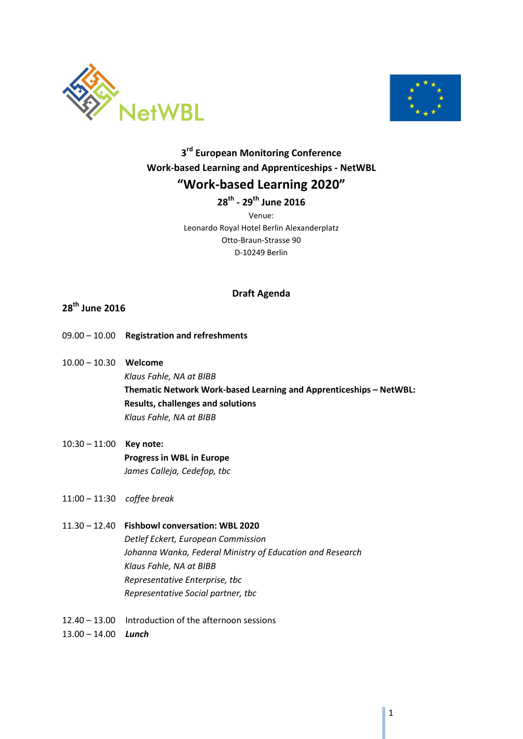



# **3rd European Monitoring Conference Work-based Learning and Apprenticeships - NetWBL "Work-based Learning 2020"**

**28th - 29th June 2016**

Venue: Leonardo Royal Hotel Berlin Alexanderplatz Otto-Braun-Strasse 90 D-10249 Berlin

#### **Draft Agenda**

### **28th June 2016**

- 09.00 10.00 **Registration and refreshments**
- 10.00 10.30 **Welcome**  *Klaus Fahle, NA at BIBB* **Thematic Network Work-based Learning and Apprenticeships – NetWBL: Results, challenges and solutions** *Klaus Fahle, NA at BIBB*
- 10:30 11:00 **Key note: Progress in WBL in Europe** *James Calleja, Cedefop, tbc*
- 11:00 11:30 *coffee break*
- 11.30 12.40 **Fishbowl conversation: WBL 2020**  *Detlef Eckert, European Commission Johanna Wanka, Federal Ministry of Education and Research Klaus Fahle, NA at BIBB Representative Enterprise, tbc Representative Social partner, tbc*
- 12.40 13.00 Introduction of the afternoon sessions
- 13.00 14.00 *Lunch*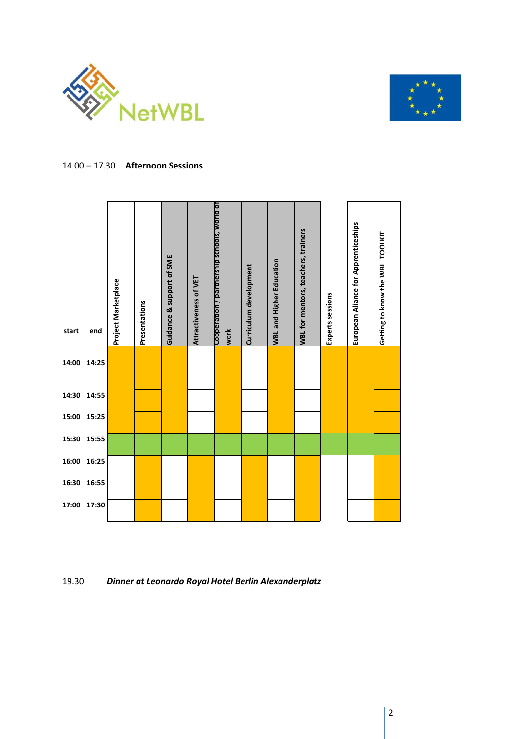



#### 14.00 – 17.30 **Afternoon Sessions**



19.30 *Dinner at Leonardo Royal Hotel Berlin Alexanderplatz*